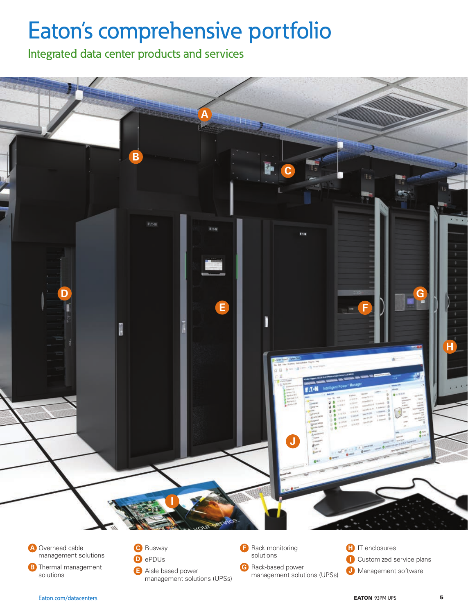# Eaton's comprehensive portfolio

Integrated data center products and services

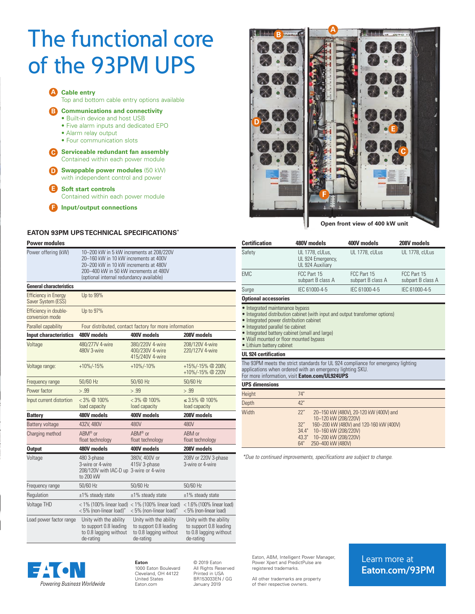# The functional core of the 93PM UPS



# **EATON 93PM UPS TECHNICAL SPECIFICATIONS\***

| <b>Power modules</b>                                                                                               |                                                                                                                                                                                                                  |                                                                                         |                                                                                         |  |  |
|--------------------------------------------------------------------------------------------------------------------|------------------------------------------------------------------------------------------------------------------------------------------------------------------------------------------------------------------|-----------------------------------------------------------------------------------------|-----------------------------------------------------------------------------------------|--|--|
| Power offering (kW)                                                                                                | 10-200 kW in 5 kW increments at 208/220V<br>20-160 kW in 10 kW increments at 400V<br>20–200 kW in 10 kW increments at 480V<br>200-400 kW in 50 kW increments at 480V<br>(optional internal redundancy available) |                                                                                         |                                                                                         |  |  |
| <b>General characteristics</b>                                                                                     |                                                                                                                                                                                                                  |                                                                                         |                                                                                         |  |  |
| <b>Efficiency in Energy</b><br>Saver System (ESS)                                                                  | Up to 99%                                                                                                                                                                                                        |                                                                                         |                                                                                         |  |  |
| Efficiency in double-<br>conversion mode                                                                           | Up to 97%                                                                                                                                                                                                        |                                                                                         |                                                                                         |  |  |
| Parallel capability                                                                                                |                                                                                                                                                                                                                  | Four distributed, contact factory for more information                                  |                                                                                         |  |  |
| <b>Input characteristics</b>                                                                                       | 480V models                                                                                                                                                                                                      | 400V models                                                                             | 208V models                                                                             |  |  |
| Voltage                                                                                                            | 480/277V 4-wire<br>480V 3-wire                                                                                                                                                                                   | 380/220V 4-wire<br>400/230V 4-wire<br>415/240V 4-wire                                   | 208/120V 4-wire<br>220/127V 4-wire                                                      |  |  |
| Voltage range:                                                                                                     | $+10\%/15\%$                                                                                                                                                                                                     | $+10\%/10\%$                                                                            | +15%/-15% @ 208V,<br>+10%/-15% @ 220V                                                   |  |  |
| Frequency range                                                                                                    | 50/60 Hz                                                                                                                                                                                                         | 50/60 Hz                                                                                | 50/60 Hz                                                                                |  |  |
| Power factor                                                                                                       | > .99                                                                                                                                                                                                            | > .99                                                                                   | > .99                                                                                   |  |  |
| Input current distortion                                                                                           | $<$ 3% $@$ 100%<br>load capacity                                                                                                                                                                                 | $<$ 3% $@$ 100%<br>load capacity                                                        | $\leq$ 3.5% $\oslash$ 100%<br>load capacity                                             |  |  |
| <b>Battery</b>                                                                                                     | 480V models                                                                                                                                                                                                      | 400V models                                                                             | 208V models                                                                             |  |  |
| Battery voltage                                                                                                    | 432V, 480V                                                                                                                                                                                                       | 480V                                                                                    | 480V                                                                                    |  |  |
| Charging method                                                                                                    | ABM <sup>®</sup> or<br>float technology                                                                                                                                                                          | ABM <sup>®</sup> or<br>float technology                                                 | ABM or<br>float technology                                                              |  |  |
| <b>Output</b>                                                                                                      | 480V models                                                                                                                                                                                                      | 400V models                                                                             | 208V models                                                                             |  |  |
| Voltage                                                                                                            | 480 3-phase<br>3-wire or 4-wire<br>208/120V with IAC-D up 3-wire or 4-wire<br>to 200 kW                                                                                                                          | 380V, 400V or<br>415V 3-phase                                                           | 208V or 220V 3-phase<br>3-wire or 4-wire                                                |  |  |
| Frequency range                                                                                                    | 50/60 Hz                                                                                                                                                                                                         | 50/60 Hz                                                                                | 50/60 Hz                                                                                |  |  |
| Regulation                                                                                                         | $±1\%$ steady state                                                                                                                                                                                              | $±1\%$ steady state                                                                     | $±1\%$ steady state                                                                     |  |  |
| <b>Voltage THD</b>                                                                                                 | $<$ 1% (100% linear load)<br>< 5% (non-linear load)"                                                                                                                                                             | $<$ 1% (100% linear load)<br>< 5% (non-linear load)"                                    | $<$ 1.6% (100% linear load)<br><5% (non-linear load)                                    |  |  |
| Load power factor range<br>Unity with the ability<br>to support 0.8 leading<br>to 0.8 lagging without<br>de-rating |                                                                                                                                                                                                                  | Unity with the ability<br>to support 0.8 leading<br>to 0.8 lagging without<br>de-rating | Unity with the ability<br>to support 0.8 leading<br>to 0.8 lagging without<br>de-rating |  |  |



**Open front view of 400 kW unit**

| UL 1778, cULus<br>FCC Part 15<br>subpart B class A<br>IEC 61000-4-5                                                                                                                             | UL 1778, cULus<br>FCC Part 15                                                                                |  |  |
|-------------------------------------------------------------------------------------------------------------------------------------------------------------------------------------------------|--------------------------------------------------------------------------------------------------------------|--|--|
|                                                                                                                                                                                                 |                                                                                                              |  |  |
|                                                                                                                                                                                                 | subpart B class A                                                                                            |  |  |
|                                                                                                                                                                                                 | IEC 61000-4-5                                                                                                |  |  |
|                                                                                                                                                                                                 |                                                                                                              |  |  |
| • Integrated distribution cabinet (with input and output transformer options)                                                                                                                   |                                                                                                              |  |  |
|                                                                                                                                                                                                 |                                                                                                              |  |  |
| The 93PM meets the strict standards for UL 924 compliance for emergency lighting<br>applications when ordered with an emergency lighting SKU.<br>For more information, visit Eaton.com/UL924UPS |                                                                                                              |  |  |
|                                                                                                                                                                                                 |                                                                                                              |  |  |
|                                                                                                                                                                                                 |                                                                                                              |  |  |
|                                                                                                                                                                                                 |                                                                                                              |  |  |
| 20-150 kW (480V), 20-120 kW (400V) and<br>10-120 kW (208/220V)                                                                                                                                  |                                                                                                              |  |  |
|                                                                                                                                                                                                 | 160-200 kW (480V) and 120-160 kW (400V)<br>10-160 kW (208/220V)<br>10-200 kW (208/220V)<br>250-400 kW (480V) |  |  |

EA ON Powering Business Worldwide

**Eaton** 1000 Eaton Boulevard Cleveland, OH 44122 United States [Eaton.com](http://Eaton.com
)

© 2019 Eaton All Rights Reserved Printed in USA BR153033EN / GG January 2019

Eaton, ABM, Intelligent Power Manager, Power Xpert and PredictPulse are registered trademarks.

All other trademarks are property of their respective owners.

# Learn more at **[Eaton.com/93PM](http://Eaton.com/93PM)**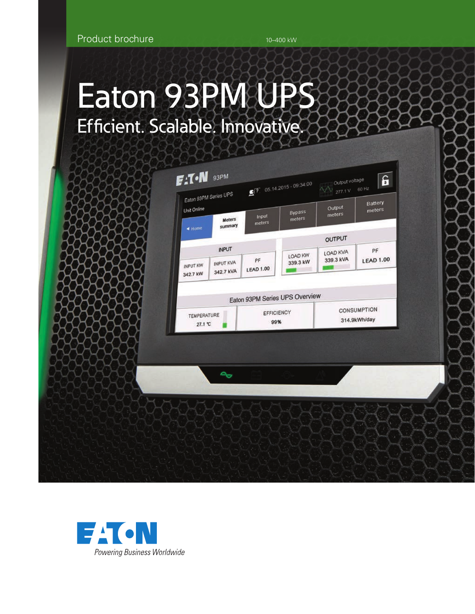# Eaton 93PM UPS Efficient. Scalable. Innovative.



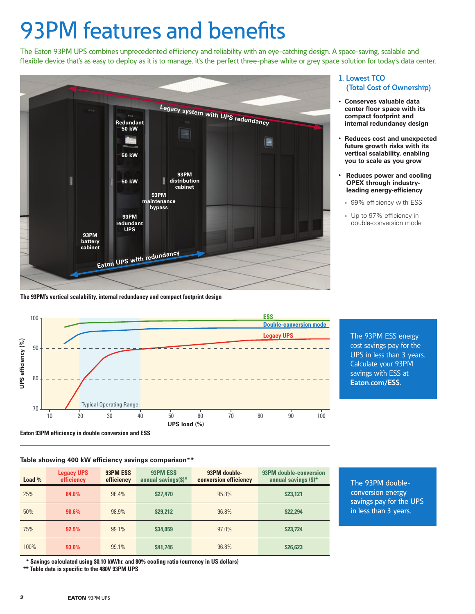# 93PM features and benefits

The Eaton 93PM UPS combines unprecedented efficiency and reliability with an eye-catching design. A space-saving, scalable and flexible device that's as easy to deploy as it is to manage, it's the perfect three-phase white or grey space solution for today's data center.



**The 93PM's vertical scalability, internal redundancy and compact footprint design**



The 93PM ESS energy cost savings pay for the UPS in less than 3 years. Calculate your 93PM savings with ESS at **[Eaton.com/ESS](http://Eaton.com/ESS).**

**Eaton 93PM efficiency in double conversion and ESS**

## **Table showing 400 kW efficiency savings comparison\*\***

| Load $%$     | <b>Legacy UPS</b><br>efficiency | 93PM ESS<br>efficiency | 93PM ESS<br>annual savings $(S)^*$ | 93PM double-<br>conversion efficiency | 93PM double-conversion<br>annual savings $(S)^*$ |
|--------------|---------------------------------|------------------------|------------------------------------|---------------------------------------|--------------------------------------------------|
| 25%          | 84.0%                           | 98.4%                  | \$27,470                           | 95.8%                                 | \$23,121                                         |
| 50%<br>90.6% |                                 | 98.9%                  | \$29,212                           | 96.8%                                 | \$22,294                                         |
| 75%          | 92.5%                           | 99.1%                  | \$34,059                           | 97.0%                                 | \$23,724                                         |
| 100%         | $93.0\%$                        | 99.1%                  | \$41,746                           | 96.8%                                 | \$26,623                                         |

The 93PM doubleconversion energy savings pay for the UPS in less than 3 years.

 **\* Savings calculated using \$0.10 kW/hr. and 80% cooling ratio (currency in US dollars)**

**\*\* Table data is specific to the 480V 93PM UPS**

# **1. Lowest TCO (Total Cost of Ownership)**

- **Conserves valuable data center floor space with its compact footprint and internal redundancy design**
- **Reduces cost and unexpected future growth risks with its vertical scalability, enabling you to scale as you grow**
- • **Reduces power and cooling OPEX through industryleading energy-efficiency**
	- 99% efficiency with ESS
	- Up to 97% efficiency in double-conversion mode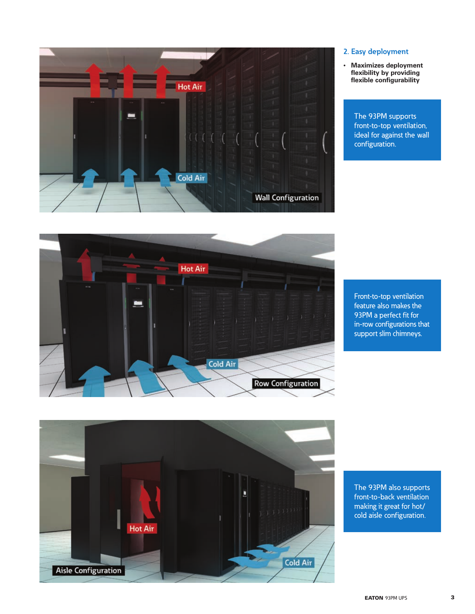

# **2. Easy deployment**

• **Maximizes deployment flexibility by providing flexible configurability**

> The 93PM supports front-to-top ventilation, ideal for against the wall configuration.



Front-to-top ventilation feature also makes the 93PM a perfect fit for in-row configurations that support slim chimneys.



The 93PM also supports front-to-back ventilation making it great for hot/ cold aisle configuration.